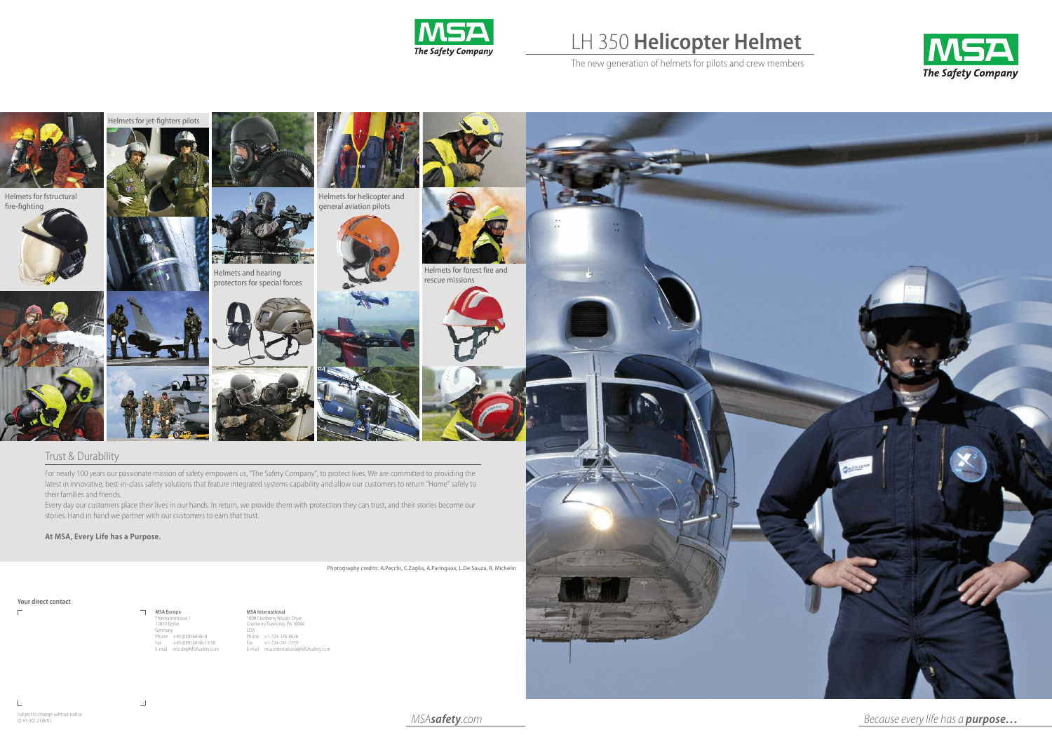

## LH 350 **Helicopter Helmet**

The new generation of helmets for pilots and crew members







Because every life has a **purpose...**